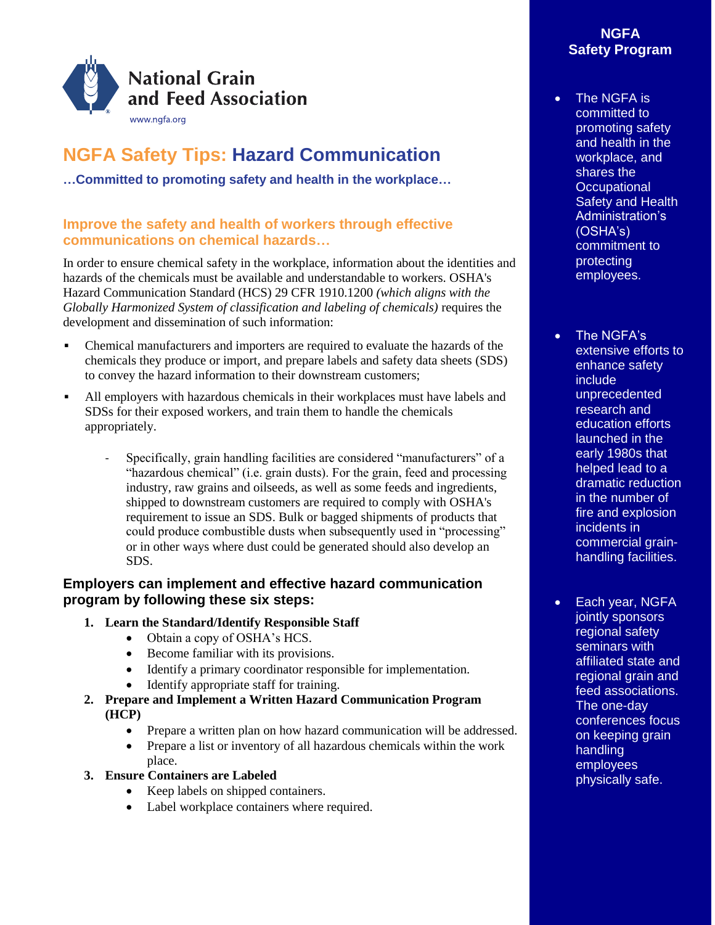

# **NGFA Safety Tips: Hazard Communication**

**…Committed to promoting safety and health in the workplace…**

## **Improve the safety and health of workers through effective communications on chemical hazards…**

In order to ensure chemical safety in the workplace, information about the identities and hazards of the chemicals must be available and understandable to workers. OSHA's Hazard Communication Standard (HCS) 29 CFR 1910.1200 *(which aligns with the Globally Harmonized System of classification and labeling of chemicals)* requires the development and dissemination of such information:

- Chemical manufacturers and importers are required to evaluate the hazards of the chemicals they produce or import, and prepare labels and safety data sheets (SDS) to convey the hazard information to their downstream customers;
- All employers with hazardous chemicals in their workplaces must have labels and SDSs for their exposed workers, and train them to handle the chemicals appropriately.
	- Specifically, grain handling facilities are considered "manufacturers" of a "hazardous chemical" (i.e. grain dusts). For the grain, feed and processing industry, raw grains and oilseeds, as well as some feeds and ingredients, shipped to downstream customers are required to comply with OSHA's requirement to issue an SDS. Bulk or bagged shipments of products that could produce combustible dusts when subsequently used in "processing" or in other ways where dust could be generated should also develop an SDS.

### **Employers can implement and effective hazard communication program by following these six steps:**

- **1. Learn the Standard/Identify Responsible Staff**
	- Obtain a copy of OSHA's HCS.
	- Become familiar with its provisions.
	- Identify a primary coordinator responsible for implementation.
	- Identify appropriate staff for training.
- **2. Prepare and Implement a Written Hazard Communication Program (HCP)** 
	- Prepare a written plan on how hazard communication will be addressed.
	- Prepare a list or inventory of all hazardous chemicals within the work place.
- **3. Ensure Containers are Labeled**
	- Keep labels on shipped containers.
	- Label workplace containers where required.

### **NGFA Safety Program**

- The NGFA is committed to promoting safety and health in the workplace, and shares the **Occupational** Safety and Health Administration's (OSHA's) commitment to protecting employees.
- The NGFA's extensive efforts to enhance safety include unprecedented research and education efforts launched in the early 1980s that helped lead to a dramatic reduction in the number of fire and explosion incidents in commercial grainhandling facilities.
- Each year, NGFA jointly sponsors regional safety seminars with affiliated state and regional grain and feed associations. The one-day conferences focus on keeping grain handling employees physically safe.